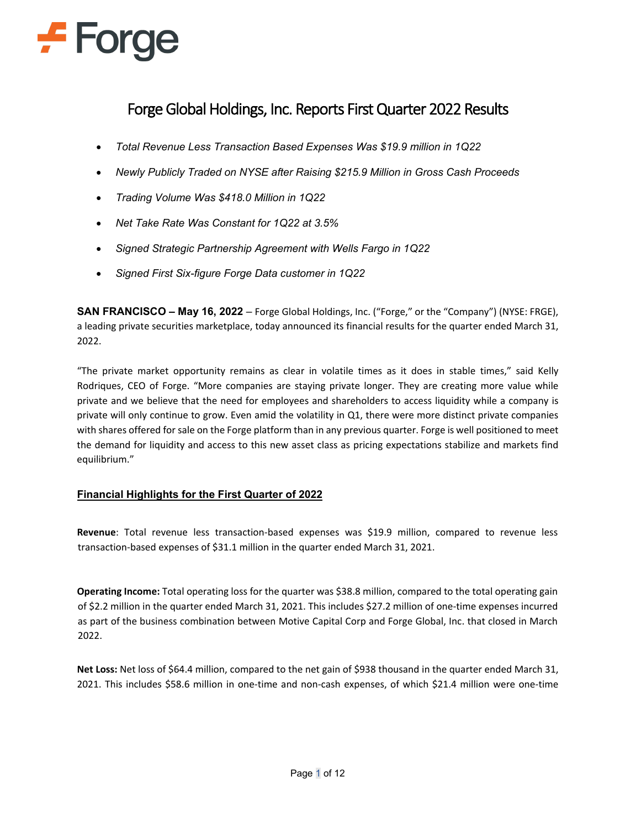# $\div$  Forge

# Forge Global Holdings, Inc. Reports First Quarter 2022 Results

- *Total Revenue Less Transaction Based Expenses Was \$19.9 million in 1Q22*
- *Newly Publicly Traded on NYSE after Raising \$215.9 Million in Gross Cash Proceeds*
- *Trading Volume Was \$418.0 Million in 1Q22*
- *Net Take Rate Was Constant for 1Q22 at 3.5%*
- *Signed Strategic Partnership Agreement with Wells Fargo in 1Q22*
- *Signed First Six-figure Forge Data customer in 1Q22*

**SAN FRANCISCO – May 16, 2022** – Forge Global Holdings, Inc. ("Forge," or the "Company") (NYSE: FRGE), a leading private securities marketplace, today announced its financial results for the quarter ended March 31, 2022.

"The private market opportunity remains as clear in volatile times as it does in stable times," said Kelly Rodriques, CEO of Forge. "More companies are staying private longer. They are creating more value while private and we believe that the need for employees and shareholders to access liquidity while a company is private will only continue to grow. Even amid the volatility in Q1, there were more distinct private companies with shares offered for sale on the Forge platform than in any previous quarter. Forge is well positioned to meet the demand for liquidity and access to this new asset class as pricing expectations stabilize and markets find equilibrium."

# **Financial Highlights for the First Quarter of 2022**

**Revenue**: Total revenue less transaction-based expenses was \$19.9 million, compared to revenue less transaction-based expenses of \$31.1 million in the quarter ended March 31, 2021.

**Operating Income:** Total operating loss for the quarter was \$38.8 million, compared to the total operating gain of \$2.2 million in the quarter ended March 31, 2021. This includes \$27.2 million of one-time expenses incurred as part of the business combination between Motive Capital Corp and Forge Global, Inc. that closed in March 2022.

**Net Loss:** Net loss of \$64.4 million, compared to the net gain of \$938 thousand in the quarter ended March 31, 2021. This includes \$58.6 million in one-time and non-cash expenses, of which \$21.4 million were one-time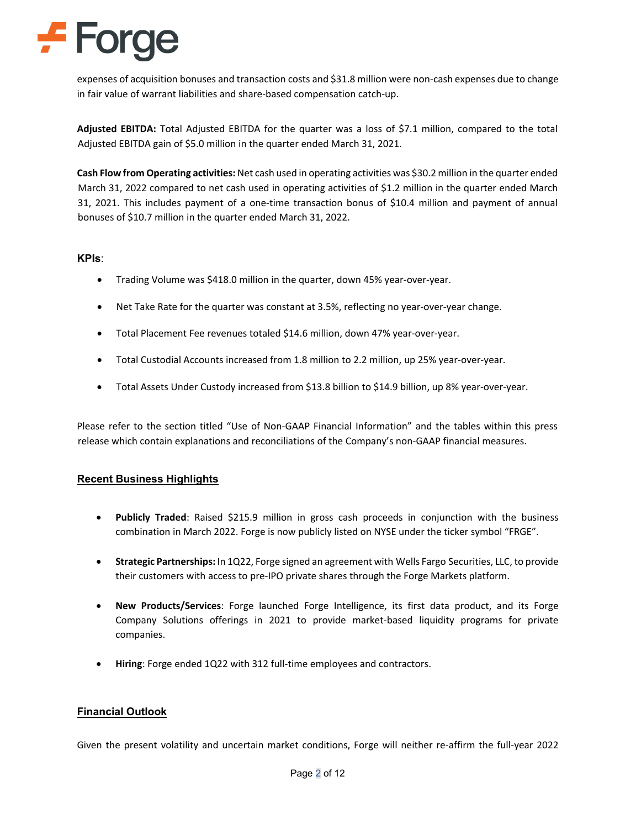# **F** Forge

expenses of acquisition bonuses and transaction costs and \$31.8 million were non-cash expenses due to change in fair value of warrant liabilities and share-based compensation catch-up.

**Adjusted EBITDA:** Total Adjusted EBITDA for the quarter was a loss of \$7.1 million, compared to the total Adjusted EBITDA gain of \$5.0 million in the quarter ended March 31, 2021.

**Cash Flow from Operating activities:** Net cash used in operating activities was \$30.2 million in the quarter ended March 31, 2022 compared to net cash used in operating activities of \$1.2 million in the quarter ended March 31, 2021. This includes payment of a one-time transaction bonus of \$10.4 million and payment of annual bonuses of \$10.7 million in the quarter ended March 31, 2022.

### **KPIs**:

- Trading Volume was \$418.0 million in the quarter, down 45% year-over-year.
- Net Take Rate for the quarter was constant at 3.5%, reflecting no year-over-year change.
- Total Placement Fee revenues totaled \$14.6 million, down 47% year-over-year.
- Total Custodial Accounts increased from 1.8 million to 2.2 million, up 25% year-over-year.
- Total Assets Under Custody increased from \$13.8 billion to \$14.9 billion, up 8% year-over-year.

Please refer to the section titled "Use of Non-GAAP Financial Information" and the tables within this press release which contain explanations and reconciliations of the Company's non-GAAP financial measures.

### **Recent Business Highlights**

- **Publicly Traded**: Raised \$215.9 million in gross cash proceeds in conjunction with the business combination in March 2022. Forge is now publicly listed on NYSE under the ticker symbol "FRGE".
- **Strategic Partnerships:** In 1Q22, Forge signed an agreement with Wells Fargo Securities, LLC, to provide their customers with access to pre-IPO private shares through the Forge Markets platform.
- **New Products/Services**: Forge launched Forge Intelligence, its first data product, and its Forge Company Solutions offerings in 2021 to provide market-based liquidity programs for private companies.
- **Hiring**: Forge ended 1Q22 with 312 full-time employees and contractors.

#### **Financial Outlook**

Given the present volatility and uncertain market conditions, Forge will neither re-affirm the full-year 2022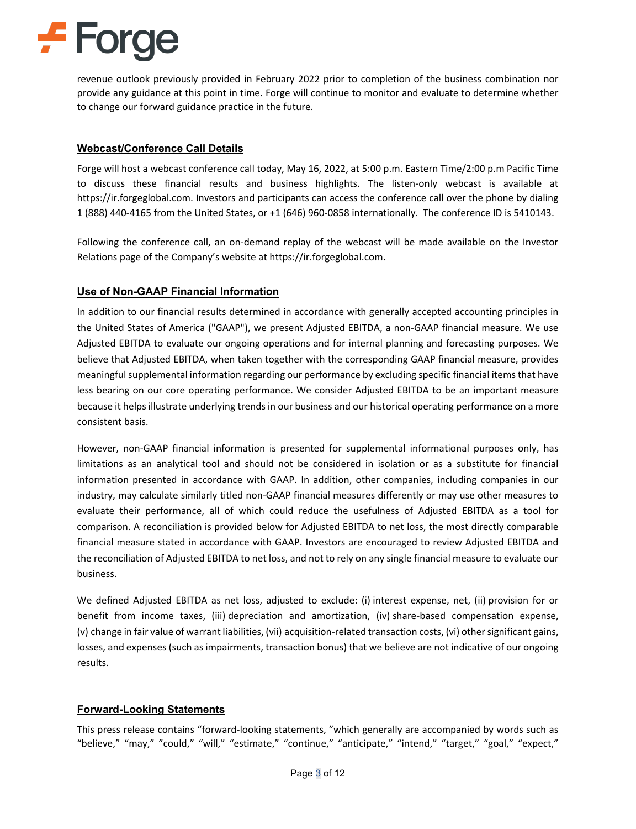# $\div$  Forge

revenue outlook previously provided in February 2022 prior to completion of the business combination nor provide any guidance at this point in time. Forge will continue to monitor and evaluate to determine whether to change our forward guidance practice in the future.

### **Webcast/Conference Call Details**

Forge will host a webcast conference call today, May 16, 2022, at 5:00 p.m. Eastern Time/2:00 p.m Pacific Time to discuss these financial results and business highlights. The listen-only webcast is available at https://ir.forgeglobal.com. Investors and participants can access the conference call over the phone by dialing 1 (888) 440-4165 from the United States, or +1 (646) 960-0858 internationally. The conference ID is 5410143.

Following the conference call, an on-demand replay of the webcast will be made available on the Investor Relations page of the Company's website at https://ir.forgeglobal.com.

# **Use of Non-GAAP Financial Information**

In addition to our financial results determined in accordance with generally accepted accounting principles in the United States of America ("GAAP"), we present Adjusted EBITDA, a non-GAAP financial measure. We use Adjusted EBITDA to evaluate our ongoing operations and for internal planning and forecasting purposes. We believe that Adjusted EBITDA, when taken together with the corresponding GAAP financial measure, provides meaningful supplemental information regarding our performance by excluding specific financial items that have less bearing on our core operating performance. We consider Adjusted EBITDA to be an important measure because it helps illustrate underlying trends in our business and our historical operating performance on a more consistent basis.

However, non-GAAP financial information is presented for supplemental informational purposes only, has limitations as an analytical tool and should not be considered in isolation or as a substitute for financial information presented in accordance with GAAP. In addition, other companies, including companies in our industry, may calculate similarly titled non-GAAP financial measures differently or may use other measures to evaluate their performance, all of which could reduce the usefulness of Adjusted EBITDA as a tool for comparison. A reconciliation is provided below for Adjusted EBITDA to net loss, the most directly comparable financial measure stated in accordance with GAAP. Investors are encouraged to review Adjusted EBITDA and the reconciliation of Adjusted EBITDA to net loss, and not to rely on any single financial measure to evaluate our business.

We defined Adjusted EBITDA as net loss, adjusted to exclude: (i) interest expense, net, (ii) provision for or benefit from income taxes, (iii) depreciation and amortization, (iv) share-based compensation expense, (v) change in fair value of warrant liabilities, (vii) acquisition-related transaction costs, (vi) other significant gains, losses, and expenses (such as impairments, transaction bonus) that we believe are not indicative of our ongoing results.

### **Forward-Looking Statements**

This press release contains "forward-looking statements, "which generally are accompanied by words such as "believe," "may," "could," "will," "estimate," "continue," "anticipate," "intend," "target," "goal," "expect,"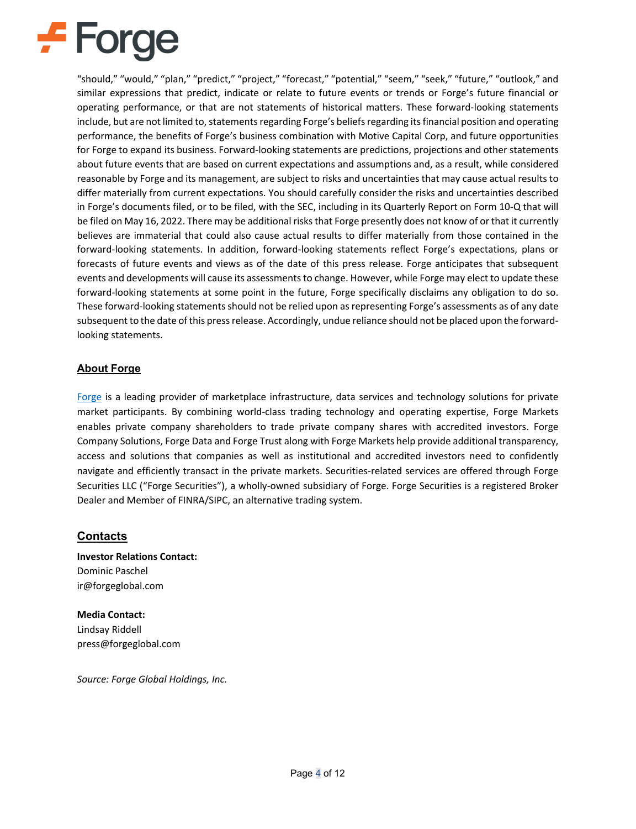# $\div$  Forge

"should," "would," "plan," "predict," "project," "forecast," "potential," "seem," "seek," "future," "outlook," and similar expressions that predict, indicate or relate to future events or trends or Forge's future financial or operating performance, or that are not statements of historical matters. These forward-looking statements include, but are not limited to, statements regarding Forge's beliefs regarding its financial position and operating performance, the benefits of Forge's business combination with Motive Capital Corp, and future opportunities for Forge to expand its business. Forward-looking statements are predictions, projections and other statements about future events that are based on current expectations and assumptions and, as a result, while considered reasonable by Forge and its management, are subject to risks and uncertainties that may cause actual results to differ materially from current expectations. You should carefully consider the risks and uncertainties described in Forge's documents filed, or to be filed, with the SEC, including in its Quarterly Report on Form 10-Q that will be filed on May 16, 2022. There may be additional risks that Forge presently does not know of or that it currently believes are immaterial that could also cause actual results to differ materially from those contained in the forward-looking statements. In addition, forward-looking statements reflect Forge's expectations, plans or forecasts of future events and views as of the date of this press release. Forge anticipates that subsequent events and developments will cause its assessments to change. However, while Forge may elect to update these forward-looking statements at some point in the future, Forge specifically disclaims any obligation to do so. These forward-looking statements should not be relied upon as representing Forge's assessments as of any date subsequent to the date of this press release. Accordingly, undue reliance should not be placed upon the forwardlooking statements.

## **About Forge**

[Forge](https://forgeglobal.com/?utm_campaign=20220516-press-release&utm_content=2022-q1-earnings) is a leading provider of marketplace infrastructure, data services and technology solutions for private market participants. By combining world-class trading technology and operating expertise, Forge Markets enables private company shareholders to trade private company shares with accredited investors. Forge Company Solutions, Forge Data and Forge Trust along with Forge Markets help provide additional transparency, access and solutions that companies as well as institutional and accredited investors need to confidently navigate and efficiently transact in the private markets. Securities-related services are offered through Forge Securities LLC ("Forge Securities"), a wholly-owned subsidiary of Forge. Forge Securities is a registered Broker Dealer and Member of FINRA/SIPC, an alternative trading system.

# **Contacts**

**Investor Relations Contact:** Dominic Paschel ir@forgeglobal.com

**Media Contact:** Lindsay Riddell press@forgeglobal.com

*Source: Forge Global Holdings, Inc.*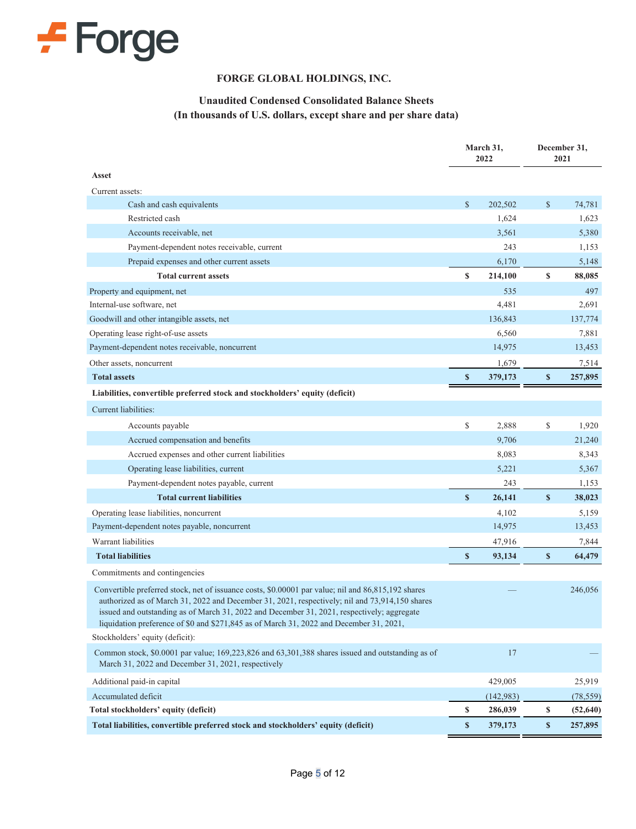

### **FORGE GLOBAL HOLDINGS, INC.**

# **Unaudited Condensed Consolidated Balance Sheets (In thousands of U.S. dollars, except share and per share data)**

|                                                                                                                                                                                                                                                                                                                                                                                               | March 31,<br>2022 |           | December 31,<br>2021 |           |
|-----------------------------------------------------------------------------------------------------------------------------------------------------------------------------------------------------------------------------------------------------------------------------------------------------------------------------------------------------------------------------------------------|-------------------|-----------|----------------------|-----------|
| Asset                                                                                                                                                                                                                                                                                                                                                                                         |                   |           |                      |           |
| Current assets:                                                                                                                                                                                                                                                                                                                                                                               |                   |           |                      |           |
| Cash and cash equivalents                                                                                                                                                                                                                                                                                                                                                                     | \$                | 202,502   | \$                   | 74,781    |
| Restricted cash                                                                                                                                                                                                                                                                                                                                                                               |                   | 1,624     |                      | 1,623     |
| Accounts receivable, net                                                                                                                                                                                                                                                                                                                                                                      |                   | 3,561     |                      | 5,380     |
| Payment-dependent notes receivable, current                                                                                                                                                                                                                                                                                                                                                   |                   | 243       |                      | 1,153     |
| Prepaid expenses and other current assets                                                                                                                                                                                                                                                                                                                                                     |                   | 6,170     |                      | 5,148     |
| <b>Total current assets</b>                                                                                                                                                                                                                                                                                                                                                                   | \$                | 214,100   | \$                   | 88,085    |
| Property and equipment, net                                                                                                                                                                                                                                                                                                                                                                   |                   | 535       |                      | 497       |
| Internal-use software, net                                                                                                                                                                                                                                                                                                                                                                    |                   | 4,481     |                      | 2,691     |
| Goodwill and other intangible assets, net                                                                                                                                                                                                                                                                                                                                                     |                   | 136,843   |                      | 137,774   |
| Operating lease right-of-use assets                                                                                                                                                                                                                                                                                                                                                           |                   | 6,560     |                      | 7,881     |
| Payment-dependent notes receivable, noncurrent                                                                                                                                                                                                                                                                                                                                                |                   | 14,975    |                      | 13,453    |
| Other assets, noncurrent                                                                                                                                                                                                                                                                                                                                                                      |                   | 1,679     |                      | 7,514     |
| <b>Total assets</b>                                                                                                                                                                                                                                                                                                                                                                           | $\boldsymbol{s}$  | 379,173   | $\boldsymbol{s}$     | 257,895   |
| Liabilities, convertible preferred stock and stockholders' equity (deficit)                                                                                                                                                                                                                                                                                                                   |                   |           |                      |           |
| Current liabilities:                                                                                                                                                                                                                                                                                                                                                                          |                   |           |                      |           |
| Accounts payable                                                                                                                                                                                                                                                                                                                                                                              | \$                | 2,888     | \$                   | 1,920     |
| Accrued compensation and benefits                                                                                                                                                                                                                                                                                                                                                             |                   | 9,706     |                      | 21,240    |
| Accrued expenses and other current liabilities                                                                                                                                                                                                                                                                                                                                                |                   | 8,083     |                      | 8,343     |
| Operating lease liabilities, current                                                                                                                                                                                                                                                                                                                                                          |                   | 5,221     |                      | 5,367     |
| Payment-dependent notes payable, current                                                                                                                                                                                                                                                                                                                                                      |                   | 243       |                      | 1,153     |
| <b>Total current liabilities</b>                                                                                                                                                                                                                                                                                                                                                              | $\mathbf{s}$      | 26,141    | $\boldsymbol{s}$     | 38,023    |
| Operating lease liabilities, noncurrent                                                                                                                                                                                                                                                                                                                                                       |                   | 4,102     |                      | 5,159     |
| Payment-dependent notes payable, noncurrent                                                                                                                                                                                                                                                                                                                                                   |                   | 14,975    |                      | 13,453    |
| Warrant liabilities                                                                                                                                                                                                                                                                                                                                                                           |                   | 47,916    |                      | 7,844     |
| <b>Total liabilities</b>                                                                                                                                                                                                                                                                                                                                                                      | $\boldsymbol{s}$  | 93,134    | $\boldsymbol{s}$     | 64,479    |
| Commitments and contingencies                                                                                                                                                                                                                                                                                                                                                                 |                   |           |                      |           |
| Convertible preferred stock, net of issuance costs, \$0.00001 par value; nil and 86,815,192 shares<br>authorized as of March 31, 2022 and December 31, 2021, respectively; nil and 73,914,150 shares<br>issued and outstanding as of March 31, 2022 and December 31, 2021, respectively; aggregate<br>liquidation preference of \$0 and \$271,845 as of March 31, 2022 and December 31, 2021, |                   |           |                      | 246,056   |
| Stockholders' equity (deficit):                                                                                                                                                                                                                                                                                                                                                               |                   |           |                      |           |
| Common stock, \$0.0001 par value; 169,223,826 and 63,301,388 shares issued and outstanding as of<br>March 31, 2022 and December 31, 2021, respectively                                                                                                                                                                                                                                        |                   | 17        |                      |           |
| Additional paid-in capital                                                                                                                                                                                                                                                                                                                                                                    |                   | 429,005   |                      | 25,919    |
| Accumulated deficit                                                                                                                                                                                                                                                                                                                                                                           |                   | (142,983) |                      | (78, 559) |
| Total stockholders' equity (deficit)                                                                                                                                                                                                                                                                                                                                                          | \$                | 286,039   | \$                   | (52, 640) |
| Total liabilities, convertible preferred stock and stockholders' equity (deficit)                                                                                                                                                                                                                                                                                                             | $\boldsymbol{s}$  | 379,173   | \$                   | 257,895   |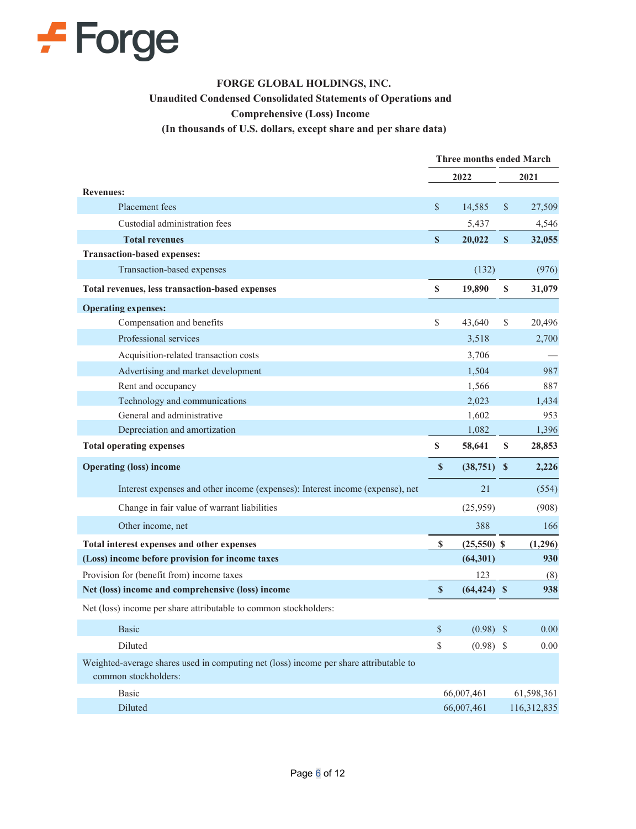

# **FORGE GLOBAL HOLDINGS, INC. Unaudited Condensed Consolidated Statements of Operations and Comprehensive (Loss) Income (In thousands of U.S. dollars, except share and per share data)**

|                                                                                                               | <b>Three months ended March</b> |                |              |             |
|---------------------------------------------------------------------------------------------------------------|---------------------------------|----------------|--------------|-------------|
|                                                                                                               |                                 | 2022           |              | 2021        |
| <b>Revenues:</b>                                                                                              |                                 |                |              |             |
| Placement fees                                                                                                | $\mathbb{S}$                    | 14,585         | \$           | 27,509      |
| Custodial administration fees                                                                                 |                                 | 5,437          |              | 4,546       |
| <b>Total revenues</b>                                                                                         | $\mathbf{s}$                    | 20,022         | $\mathbf{s}$ | 32,055      |
| <b>Transaction-based expenses:</b>                                                                            |                                 |                |              |             |
| Transaction-based expenses                                                                                    |                                 | (132)          |              | (976)       |
| Total revenues, less transaction-based expenses                                                               | $\mathbb S$                     | 19,890         | \$           | 31,079      |
| <b>Operating expenses:</b>                                                                                    |                                 |                |              |             |
| Compensation and benefits                                                                                     | $\mathbb S$                     | 43,640         | \$           | 20,496      |
| Professional services                                                                                         |                                 | 3,518          |              | 2,700       |
| Acquisition-related transaction costs                                                                         |                                 | 3,706          |              |             |
| Advertising and market development                                                                            |                                 | 1.504          |              | 987         |
| Rent and occupancy                                                                                            |                                 | 1,566          |              | 887         |
| Technology and communications                                                                                 |                                 | 2.023          |              | 1,434       |
| General and administrative                                                                                    |                                 | 1.602          |              | 953         |
| Depreciation and amortization                                                                                 |                                 | 1,082          |              | 1,396       |
| <b>Total operating expenses</b>                                                                               | \$                              | 58,641         | $\mathbf S$  | 28,853      |
| <b>Operating (loss) income</b>                                                                                | S                               | $(38,751)$ \$  |              | 2,226       |
| Interest expenses and other income (expenses): Interest income (expense), net                                 |                                 | 21             |              | (554)       |
| Change in fair value of warrant liabilities                                                                   |                                 | (25,959)       |              | (908)       |
| Other income, net                                                                                             |                                 | 388            |              | 166         |
| Total interest expenses and other expenses                                                                    | \$                              | $(25,550)$ \$  |              | (1,296)     |
| (Loss) income before provision for income taxes                                                               |                                 | (64, 301)      |              | 930         |
| Provision for (benefit from) income taxes                                                                     |                                 | 123            |              | (8)         |
| Net (loss) income and comprehensive (loss) income                                                             | $\boldsymbol{\mathsf{s}}$       | $(64, 424)$ \$ |              | 938         |
| Net (loss) income per share attributable to common stockholders:                                              |                                 |                |              |             |
| <b>Basic</b>                                                                                                  | \$                              | $(0.98)$ \$    |              | 0.00        |
| <b>Diluted</b>                                                                                                | \$                              | $(0.98)$ \$    |              | 0.00        |
| Weighted-average shares used in computing net (loss) income per share attributable to<br>common stockholders: |                                 |                |              |             |
| <b>Basic</b>                                                                                                  |                                 | 66,007,461     |              | 61,598,361  |
| Diluted                                                                                                       |                                 | 66,007,461     |              | 116,312,835 |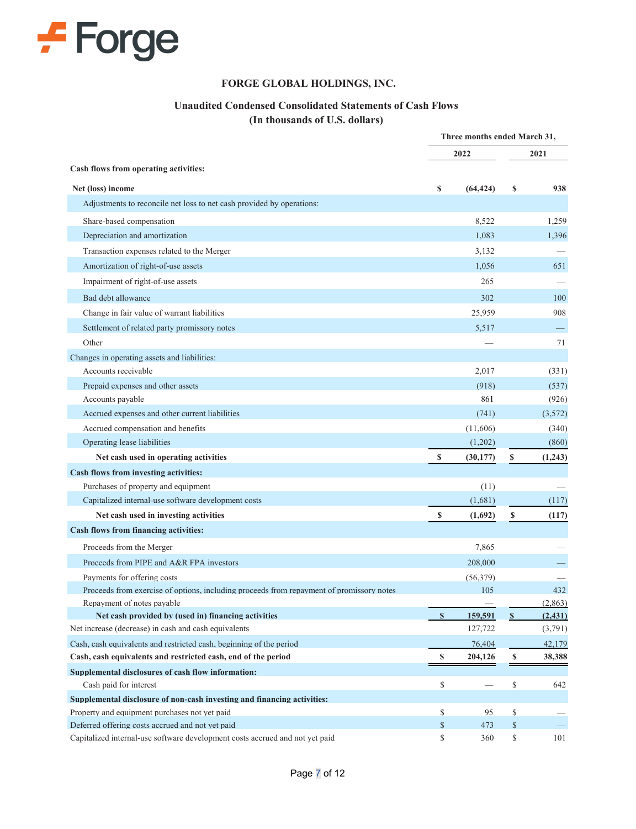

#### **FORGE GLOBAL HOLDINGS, INC.**

# **Unaudited Condensed Consolidated Statements of Cash Flows**

**(In thousands of U.S. dollars)**

|                                                                                                                          | Three months ended March 31, |                                 |      |          |
|--------------------------------------------------------------------------------------------------------------------------|------------------------------|---------------------------------|------|----------|
|                                                                                                                          |                              | 2022                            |      | 2021     |
| Cash flows from operating activities:                                                                                    |                              |                                 |      |          |
| Net (loss) income                                                                                                        | \$                           | (64, 424)                       | \$   | 938      |
| Adjustments to reconcile net loss to net cash provided by operations:                                                    |                              |                                 |      |          |
| Share-based compensation                                                                                                 |                              | 8,522                           |      | 1,259    |
| Depreciation and amortization                                                                                            |                              | 1,083                           |      | 1,396    |
| Transaction expenses related to the Merger                                                                               |                              | 3,132                           |      |          |
| Amortization of right-of-use assets                                                                                      |                              | 1,056                           |      | 651      |
| Impairment of right-of-use assets                                                                                        |                              | 265                             |      |          |
| Bad debt allowance                                                                                                       |                              | 302                             |      | 100      |
| Change in fair value of warrant liabilities                                                                              |                              | 25,959                          |      | 908      |
| Settlement of related party promissory notes                                                                             |                              | 5,517                           |      |          |
| Other                                                                                                                    |                              |                                 |      | 71       |
| Changes in operating assets and liabilities:                                                                             |                              |                                 |      |          |
| Accounts receivable                                                                                                      |                              | 2,017                           |      | (331)    |
| Prepaid expenses and other assets                                                                                        |                              | (918)                           |      | (537)    |
| Accounts payable                                                                                                         |                              | 861                             |      | (926)    |
| Accrued expenses and other current liabilities                                                                           |                              | (741)                           |      | (3,572)  |
| Accrued compensation and benefits                                                                                        |                              | (11,606)                        |      | (340)    |
| Operating lease liabilities                                                                                              |                              | (1,202)                         |      | (860)    |
| Net cash used in operating activities                                                                                    | \$                           | (30, 177)                       | \$   | (1,243)  |
| Cash flows from investing activities:                                                                                    |                              |                                 |      |          |
| Purchases of property and equipment                                                                                      |                              | (11)                            |      |          |
| Capitalized internal-use software development costs                                                                      |                              | (1,681)                         |      | (117)    |
| Net cash used in investing activities                                                                                    | S                            | (1,692)                         | \$   | (117)    |
| Cash flows from financing activities:                                                                                    |                              |                                 |      |          |
| Proceeds from the Merger                                                                                                 |                              | 7,865                           |      |          |
| Proceeds from PIPE and A&R FPA investors                                                                                 |                              | 208,000                         |      |          |
| Payments for offering costs                                                                                              |                              | (56,379)                        |      |          |
| Proceeds from exercise of options, including proceeds from repayment of promissory notes                                 |                              | 105                             |      | 432      |
| Repayment of notes payable                                                                                               |                              |                                 |      | (2, 863) |
| Net cash provided by (used in) financing activities                                                                      | $\boldsymbol{\mathsf{s}}$    | 159,591                         | S    | (2, 431) |
| Net increase (decrease) in cash and cash equivalents                                                                     |                              | 127,722                         |      | (3,791)  |
| Cash, cash equivalents and restricted cash, beginning of the period                                                      |                              | 76,404                          |      | 42,179   |
| Cash, cash equivalents and restricted cash, end of the period                                                            | \$                           | 204,126                         | \$   | 38,388   |
| Supplemental disclosures of cash flow information:                                                                       |                              |                                 |      |          |
| Cash paid for interest                                                                                                   | \$                           | $\overbrace{\qquad \qquad }^{}$ | \$   | 642      |
| Supplemental disclosure of non-cash investing and financing activities:<br>Property and equipment purchases not yet paid | \$                           | 95                              | \$   |          |
| Deferred offering costs accrued and not yet paid                                                                         | \$                           | 473                             | $\$$ |          |
| Capitalized internal-use software development costs accrued and not yet paid                                             | \$                           | 360                             | \$   | 101      |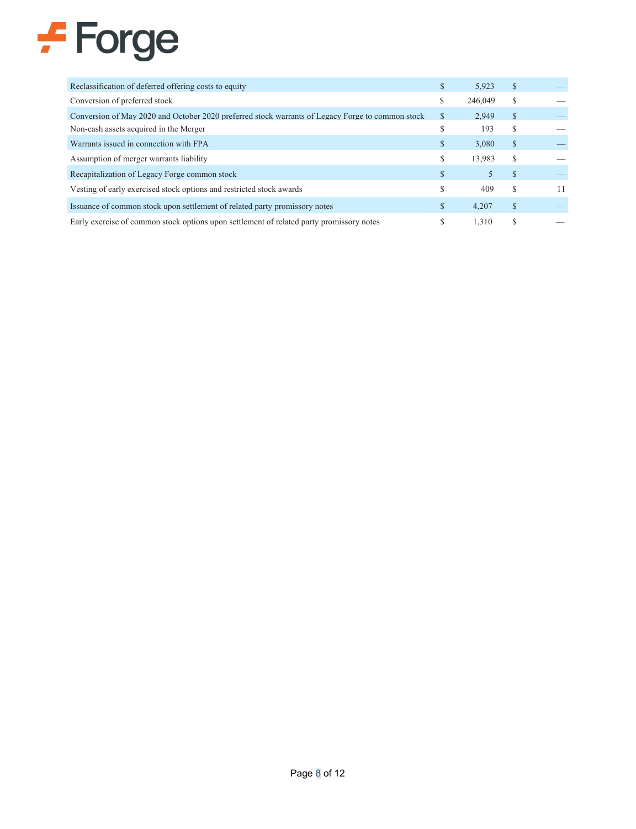# $F$  Forge

| Reclassification of deferred offering costs to equity                                            | S. | 5.923   | <sup>S</sup>  |    |
|--------------------------------------------------------------------------------------------------|----|---------|---------------|----|
| Conversion of preferred stock                                                                    | S  | 246,049 | S             |    |
| Conversion of May 2020 and October 2020 preferred stock warrants of Legacy Forge to common stock | S  | 2.949   | <sup>\$</sup> |    |
| Non-cash assets acquired in the Merger                                                           |    | 193     | S             |    |
| Warrants issued in connection with FPA                                                           | \$ | 3.080   | $\mathbb{S}$  |    |
| Assumption of merger warrants liability                                                          | \$ | 13.983  | S             |    |
| Recapitalization of Legacy Forge common stock                                                    | \$ |         | <sup>\$</sup> |    |
| Vesting of early exercised stock options and restricted stock awards                             | \$ | 409     | S             | 11 |
| Issuance of common stock upon settlement of related party promissory notes                       | \$ | 4.207   | S             |    |
| Early exercise of common stock options upon settlement of related party promissory notes         |    | 1.310   | S             |    |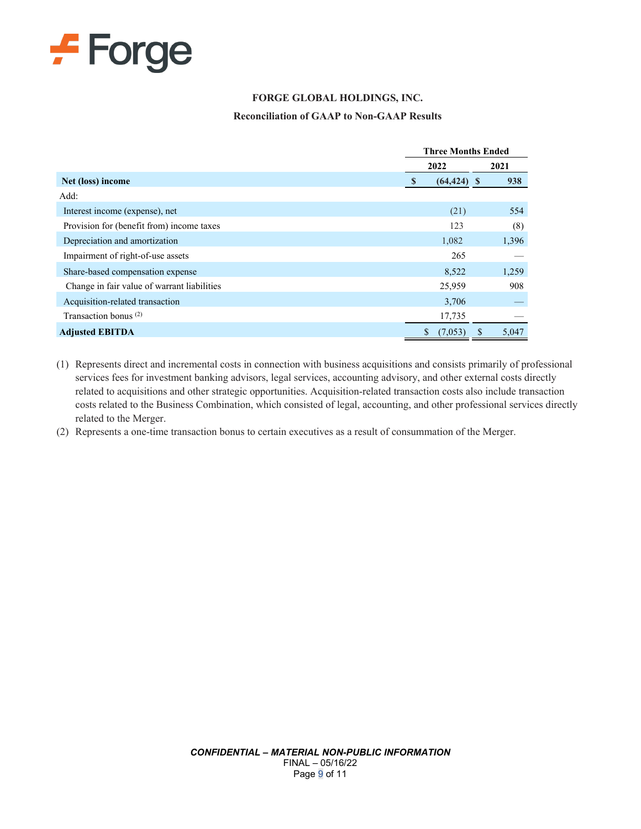

### **FORGE GLOBAL HOLDINGS, INC.**

#### **Reconciliation of GAAP to Non-GAAP Results**

|                                             |                | <b>Three Months Ended</b> |  |  |
|---------------------------------------------|----------------|---------------------------|--|--|
|                                             | 2022           | 2021                      |  |  |
| Net (loss) income                           | $(64, 424)$ \$ | 938                       |  |  |
| Add:                                        |                |                           |  |  |
| Interest income (expense), net              | (21)           | 554                       |  |  |
| Provision for (benefit from) income taxes   | 123            | (8)                       |  |  |
| Depreciation and amortization               | 1,082          | 1,396                     |  |  |
| Impairment of right-of-use assets           | 265            |                           |  |  |
| Share-based compensation expense            | 8,522          | 1,259                     |  |  |
| Change in fair value of warrant liabilities | 25,959         | 908                       |  |  |
| Acquisition-related transaction             | 3,706          |                           |  |  |
| Transaction bonus $(2)$                     | 17,735         |                           |  |  |
| <b>Adjusted EBITDA</b>                      | \$<br>(7,053)  | 5,047                     |  |  |

(1) Represents direct and incremental costs in connection with business acquisitions and consists primarily of professional services fees for investment banking advisors, legal services, accounting advisory, and other external costs directly related to acquisitions and other strategic opportunities. Acquisition-related transaction costs also include transaction costs related to the Business Combination, which consisted of legal, accounting, and other professional services directly related to the Merger.

(2) Represents a one-time transaction bonus to certain executives as a result of consummation of the Merger.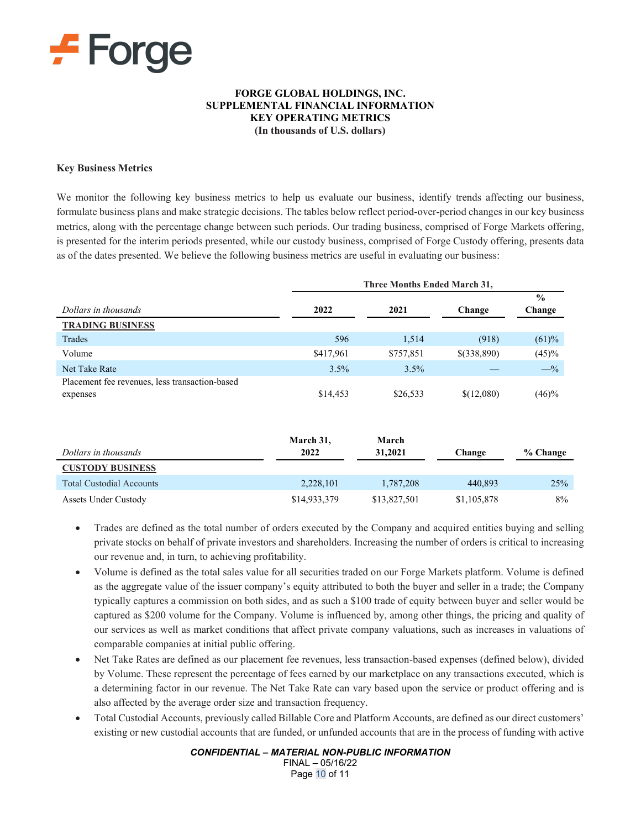

#### **FORGE GLOBAL HOLDINGS, INC. SUPPLEMENTAL FINANCIAL INFORMATION KEY OPERATING METRICS (In thousands of U.S. dollars)**

#### **Key Business Metrics**

We monitor the following key business metrics to help us evaluate our business, identify trends affecting our business, formulate business plans and make strategic decisions. The tables below reflect period-over-period changes in our key business metrics, along with the percentage change between such periods. Our trading business, comprised of Forge Markets offering, is presented for the interim periods presented, while our custody business, comprised of Forge Custody offering, presents data as of the dates presented. We believe the following business metrics are useful in evaluating our business:

|                                                | <b>Three Months Ended March 31,</b> |           |             |               |
|------------------------------------------------|-------------------------------------|-----------|-------------|---------------|
|                                                |                                     |           |             | $\frac{0}{0}$ |
| Dollars in thousands                           | 2022                                | 2021      | Change      | Change        |
| <b>TRADING BUSINESS</b>                        |                                     |           |             |               |
| Trades                                         | 596                                 | 1,514     | (918)       | (61)%         |
| Volume                                         | \$417,961                           | \$757,851 | \$(338,890) | (45)%         |
| Net Take Rate                                  | 3.5%                                | 3.5%      |             | $-$ %         |
| Placement fee revenues, less transaction-based |                                     |           |             |               |
| expenses                                       | \$14,453                            | \$26,533  | \$(12,080)  | (46)%         |

| Dollars in thousands            | March 31,<br>2022 | March<br>31,2021 | Change      | % Change |
|---------------------------------|-------------------|------------------|-------------|----------|
| <b>CUSTODY BUSINESS</b>         |                   |                  |             |          |
| <b>Total Custodial Accounts</b> | 2,228,101         | 1,787,208        | 440.893     | 25%      |
| Assets Under Custody            | \$14,933,379      | \$13,827,501     | \$1,105,878 | 8%       |

- Trades are defined as the total number of orders executed by the Company and acquired entities buying and selling private stocks on behalf of private investors and shareholders. Increasing the number of orders is critical to increasing our revenue and, in turn, to achieving profitability.
- Volume is defined as the total sales value for all securities traded on our Forge Markets platform. Volume is defined as the aggregate value of the issuer company's equity attributed to both the buyer and seller in a trade; the Company typically captures a commission on both sides, and as such a \$100 trade of equity between buyer and seller would be captured as \$200 volume for the Company. Volume is influenced by, among other things, the pricing and quality of our services as well as market conditions that affect private company valuations, such as increases in valuations of comparable companies at initial public offering.
- Net Take Rates are defined as our placement fee revenues, less transaction-based expenses (defined below), divided by Volume. These represent the percentage of fees earned by our marketplace on any transactions executed, which is a determining factor in our revenue. The Net Take Rate can vary based upon the service or product offering and is also affected by the average order size and transaction frequency.
- Total Custodial Accounts, previously called Billable Core and Platform Accounts, are defined as our direct customers' existing or new custodial accounts that are funded, or unfunded accounts that are in the process of funding with active

*CONFIDENTIAL – MATERIAL NON-PUBLIC INFORMATION*

FINAL – 05/16/22 Page 10 of 11